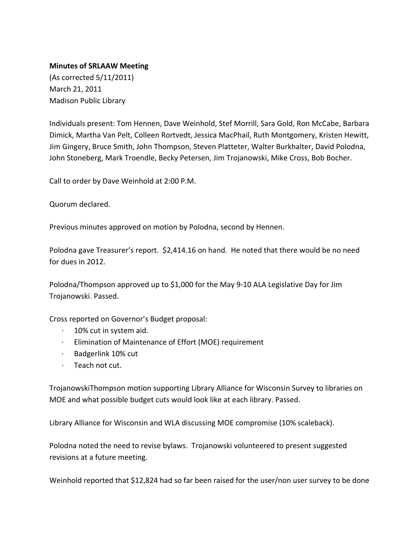## **Minutes of SRLAAW Meeting**

(As corrected 5/11/2011) March 21, 2011 Madison Public Library

Individuals present: Tom Hennen, Dave Weinhold, Stef Morrill, Sara Gold, Ron McCabe, Barbara Dimick, Martha Van Pelt, Colleen Rortvedt, Jessica MacPhail, Ruth Montgomery, Kristen Hewitt, Jim Gingery, Bruce Smith, John Thompson, Steven Platteter, Walter Burkhalter, David Polodna, John Stoneberg, Mark Troendle, Becky Petersen, Jim Trojanowski, Mike Cross, Bob Bocher.

Call to order by Dave Weinhold at 2:00 P.M.

Quorum declared.

Previous minutes approved on motion by Polodna, second by Hennen.

Polodna gave Treasurer's report. \$2,414.16 on hand. He noted that there would be no need for dues in 2012.

Polodna/Thompson approved up to \$1,000 for the May 9‐10 ALA Legislative Day for Jim Trojanowski. Passed.

Cross reported on Governor's Budget proposal:

- ∙ 10% cut in system aid.
- ∙ Elimination of Maintenance of Effort (MOE) requirement
- ∙ Badgerlink 10% cut
- ∙ Teach not cut.

TrojanowskiThompson motion supporting Library Alliance for Wisconsin Survey to libraries on MOE and what possible budget cuts would look like at each library. Passed.

Library Alliance for Wisconsin and WLA discussing MOE compromise (10% scaleback).

Polodna noted the need to revise bylaws. Trojanowski volunteered to present suggested revisions at a future meeting.

Weinhold reported that \$12,824 had so far been raised for the user/non user survey to be done